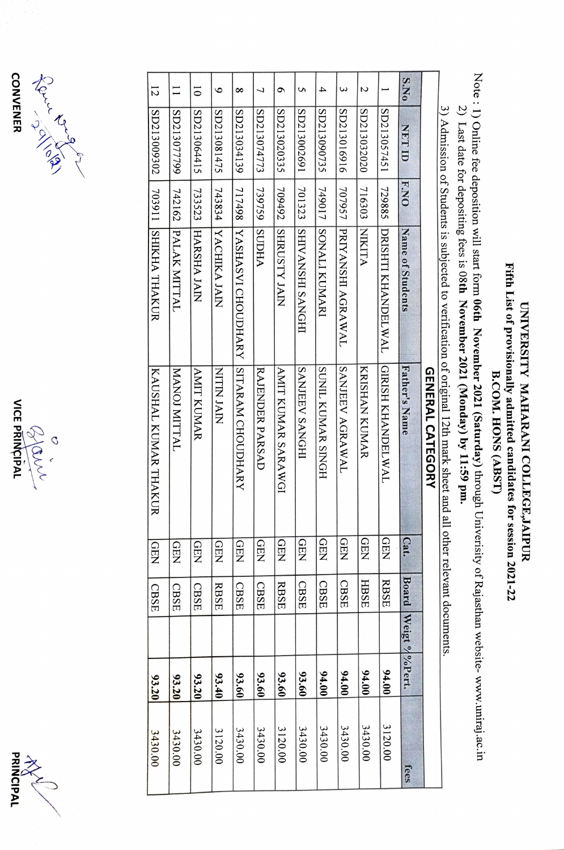





|                |                |               |                           | 3) Admission of Students is subjected to verification of original 12th mark sheet and all other relevant documents.<br><b>GENERAL CATEGORY</b> |                          |             |                |       |         |
|----------------|----------------|---------------|---------------------------|------------------------------------------------------------------------------------------------------------------------------------------------|--------------------------|-------------|----------------|-------|---------|
| <b>S.No</b>    | <b>CITTION</b> | <b>F.NO</b>   | Name of Students          | Father's Name                                                                                                                                  | $\mathbf{g}$             | Board       | Weigt % %Pert. |       | fees    |
|                | SD213057451    | 729885        | DRISHTI KHANDELWAL        | GRISH KHANDELWAL                                                                                                                               | <b>QEN</b>               | <b>RBSE</b> |                | 94.00 | 3120.00 |
| N              | SD213032020    | 716303        | NIXINI                    | KRISHAN KUMAR                                                                                                                                  | <b>QEN</b>               | <b>HBSE</b> |                | 04.00 | 3430.00 |
| ω              | SD213016916    | 707957        | PRIYANSHI AGRAWAL         | SANJEEV AGRAWAL                                                                                                                                | <b>QEN</b>               | CBSE        |                | 94.00 | 3430.00 |
| 4              | SD213090735    | 719017        | ISONALI KUMARI            | SUNIL KUMAR SINGH                                                                                                                              | <b>QEN</b>               | CBSE        |                | 94.00 | 3430.00 |
| S              | SD213002691    | 701323        | IHDNVS IHSNVAIHS          | <b>SANJEEV SANGHI</b>                                                                                                                          | <b>GEN</b>               | CBSE        |                | 93.60 | 3430.00 |
| $\sigma$       | SD213020335    | 709492        | <b>SHRUSTY JAIN</b>       | AMIT KUMAR SARAWGI                                                                                                                             | <b>QEN</b>               | <b>RBSE</b> |                | 93.60 | 3120.00 |
| 7              | SD213074773    | <b>739759</b> | <b>AHTUS</b>              | RAJENDER PARSAD                                                                                                                                | <b>GEN</b>               | <b>CBSE</b> |                | 93.60 | 3430.00 |
| $\infty$       | SD213034139    | 717498        | <b>YASHASVI CHOUDHARY</b> | SITARAM CHOUDHARY                                                                                                                              | <b>GEN</b>               | <b>CBSE</b> |                | 93.60 | 3430.00 |
| $\bullet$      | SD213081475    | 743834        | <b>NACHIKA JAIN</b>       | <b>NIPLAIN</b>                                                                                                                                 | <b>QEN</b>               | RBSE        |                | 93.40 | 3120.00 |
| $\overline{0}$ | SD213064415    | 733523        | <b>HARSHA JAIN</b>        | <b>AMIT KUMAR</b>                                                                                                                              | <b>GEN</b>               | CBSE        |                | 93.20 | 3430.00 |
|                | SD213077799    | 742162        | PALAK MITTAL              | <b>MANOJ MITTAL</b>                                                                                                                            | $\overline{\Omega}$<br>罗 | CBSE        |                | 93.20 | 3430.00 |
| 12             | SD213009302    |               | 703911 AHYHA THAKUR       | KAUSHAL KUMAR THAKUR                                                                                                                           | $\Omega$<br>모            | <b>CBSE</b> |                | 93.20 | 3430.00 |

## Fifth List of provisionally admitted candidates for session 2021-22 Fifth List of provisionally UNIVERSITY MAHARANI COLLEGE, JAIPUR UNIVERSITY MAHARANI COLLEGE,JAIPUR **B.COM. HONS (ABST)** B.COM. HONS (ABST) admitted candidates for session 2021-22

Note : 1) Online fee deposition will start form 06th November 2021 (Saturday) through Univerisity of Rajasthan website-www.uniraj.ac.in Note: 1) Online fee deposition will start form 06th November 2021 (Saturday) through University of Rajasthan website- www.uniraj.ac.in

2) Last date for depositing fees is 08th November 2021 (Monday) by 11:59 pm. 2) Last date for depositing fees is 08th November 2021 (Monday) by 11:59 pm.

3) Admission of Students is subjected to verification of original 12th mark sheet and all other relevant documents.